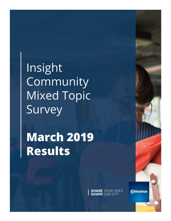Insight Community **Mixed Topic** Survey

**March 2019 Results** 

**SHARE** YOUR VOICE

**Edmonton**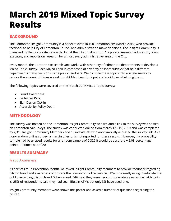# **March 2019 Mixed Topic Survey Results**

## **BACKGROUND**

The Edmonton Insight Community is a panel of over 10,100 Edmontonians (March 2019) who provide feedback to help City of Edmonton Council and administration make decisions. The Insight Community is managed by the Corporate Research Unit at the City of Edmonton. Corporate Research advises on, plans, executes, and reports on research for almost every administrative area of the City.

Every month, the Corporate Research Unit works with other City of Edmonton departments to develop a Mixed Topic Survey. Each Mixed Topic is composed of a variety of short surveys that help different departments make decisions using public feedback. We compile these topics into a single survey to reduce the amount of times we ask Insight Members for input and avoid overwhelming them.

The following topics were covered on the March 2019 Mixed Topic Survey:

- Fraud Awareness
- Gallagher Park
- Sign Design Opt-In
- Accessibility Policy Opt-In

## **METHODOLOGY**

The survey was hosted on the Edmonton Insight Community website and a link to the survey was posted on edmonton.ca/surveys. The survey was conducted online from March 12 - 19, 2019 and was completed by 2,316 Insight Community Members and 13 individuals who anonymously accessed the survey link. As a non-random online survey, a margin of error is not reported for these results. However, if a probability sample had been used results for a random sample of 2,329 it would be accurate  $\pm$  2.03 percentage points, 19 times out of 20.

## **RESULTS SUMMARY**

#### Fraud Awareness

As part of Fraud Prevention Month, we asked Insight Community members to provide feedback regarding bitcoin fraud and awareness of posters the Edmonton Police Service (EPS) is currently using to educate the public regarding bitcoin fraud. When asked, 54% said they were very or moderately aware of what bitcoin is. 25% of respondents said they had seen Bitcoin ATMs but only 3% have used one.

Insight Community members were shown this poster and asked a number of questions regarding the poster: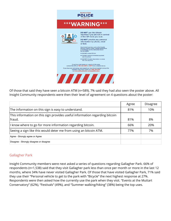

Of those that said they have seen a bitcoin ATM (n=589), 7% said they had also seen the poster above. All Insight Community respondents were then their level of agreement on 4 questions about the poster:

|                                                                                       | Agree | <b>Disagree</b> |
|---------------------------------------------------------------------------------------|-------|-----------------|
| The information on this sign is easy to understand.                                   | 81%   | 10%             |
| This information on this sign provides useful information regarding bitcoin<br>fraud. | 81%   | 8%              |
| I know where to go for more information regarding bitcoin.                            | 66%   | 20%             |
| Seeing a sign like this would deter me from using an bitcoin ATM.                     | 77%   | 7%              |
| Agree - Strongly agree or Agree                                                       |       |                 |
| Disagree - Strongly disagree or disagree                                              |       |                 |

#### Gallagher Park

Insight Community members were next asked a series of questions regarding Gallagher Park. 66% of respondents (n=1,538) said that they visit Gallagher park less than once per month or more in the last 12 months, where 34% have never visited Gallagher Park. Of those that have visited Gallagher Park, 71% said they use their "Personal vehicle to get to the park with "Bicycle" the next highest response at 27%. Respondents were then asked how the currently use the park when they visit. "Events at the Muttart Conservatory" (62%), "Festivals" (49%), and "Summer walking/hiking" (38%) being the top uses.